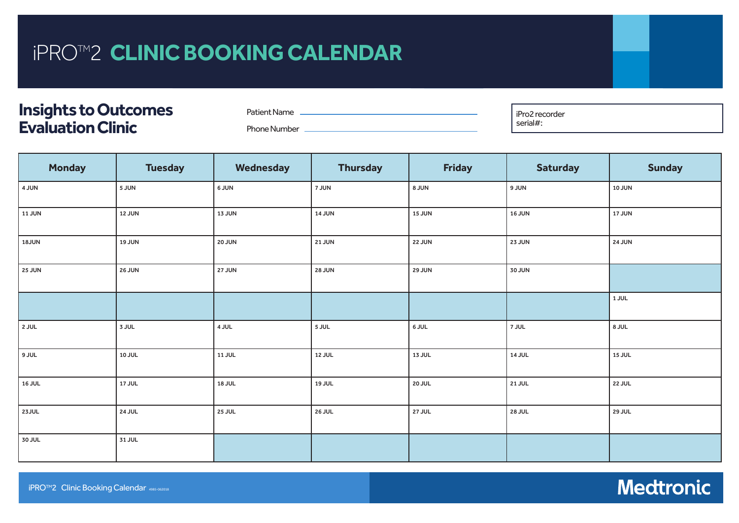## iPRO™<sub>2</sub> CLINIC BOOKING IFRUTZ **CLINIC DUURIN**  $G$  CALENDAR iPRO™2 CLINIC BOOKING CALENDAR<br>IPRO™2

## **Patient Name Patient Phone Number Guardian Connect Transmitter Serial No Insights to Outcomes Evaluation Clinic**

Patient Name Phone Number <u>\_\_\_\_\_\_\_\_\_\_</u> **Pro2 recorder** serial#:

**Training Date**

| <b>Monday</b> | <b>Tuesday</b> | Wednesday     | <b>Thursday</b> | <b>Friday</b> | <b>Saturday</b> | <b>Sunday</b> |  |  |  |
|---------------|----------------|---------------|-----------------|---------------|-----------------|---------------|--|--|--|
| 4 JUN         | 5 JUN          | 6 JUN         | 7 JUN           | 8 JUN         | 9 JUN           | <b>10 JUN</b> |  |  |  |
| 11 JUN        | <b>12 JUN</b>  | <b>13 JUN</b> | <b>14 JUN</b>   | <b>15 JUN</b> | <b>16 JUN</b>   | <b>17 JUN</b> |  |  |  |
| 18JUN         | <b>19 JUN</b>  | 20 JUN        | 21 JUN          | 22 JUN        | 23 JUN          | <b>24 JUN</b> |  |  |  |
| <b>25 JUN</b> | <b>26 JUN</b>  | <b>27 JUN</b> | <b>28 JUN</b>   | 29 JUN        | 30 JUN          |               |  |  |  |
|               |                |               |                 |               |                 | $1$ JUL       |  |  |  |
| <b>2 JUL</b>  | 3 JUL          | 4 JUL         | 5 JUL           | 6 JUL         | 7 JUL           | 8 JUL         |  |  |  |
| JUL e         | 10 JUL         | 11 JUL        | 12 JUL          | 13 JUL        | <b>14 JUL</b>   | 15 JUL        |  |  |  |
| 16 JUL        | 17 JUL         | <b>18 JUL</b> | 19 JUL          | 20 JUL        | 21 JUL          | 22 JUL        |  |  |  |
| 23JUL         | 24 JUL         | <b>25 JUL</b> | 26 JUL          | <b>27 JUL</b> | <b>28 JUL</b>   | 29 JUL        |  |  |  |
| 30 JUL        | 31 JUL         |               |                 |               |                 |               |  |  |  |
|               |                |               |                 |               |                 |               |  |  |  |

**Guardian Connect Transmitter Serial No**

Steps for applying overtape correctly

*Patient has verbalised and demonstrated the following:*

□ Importance of applying overtape □

**Medtronic** 

 $S_{\rm eff}$  for applying overtape correctly over  $\mathcal{S}_{\rm eff}$ 

□ Importance of applying overtape □